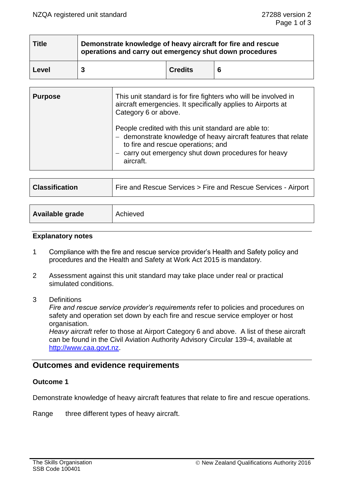| <b>Title</b> | Demonstrate knowledge of heavy aircraft for fire and rescue<br>operations and carry out emergency shut down procedures |                |   |  |
|--------------|------------------------------------------------------------------------------------------------------------------------|----------------|---|--|
| Level        |                                                                                                                        | <b>Credits</b> | 6 |  |

| <b>Purpose</b> | This unit standard is for fire fighters who will be involved in<br>aircraft emergencies. It specifically applies to Airports at<br>Category 6 or above.                                                                         |
|----------------|---------------------------------------------------------------------------------------------------------------------------------------------------------------------------------------------------------------------------------|
|                | People credited with this unit standard are able to:<br>- demonstrate knowledge of heavy aircraft features that relate<br>to fire and rescue operations; and<br>carry out emergency shut down procedures for heavy<br>aircraft. |

| <b>Classification</b> | Fire and Rescue Services > Fire and Rescue Services - Airport |  |  |
|-----------------------|---------------------------------------------------------------|--|--|
|                       |                                                               |  |  |
| Available grade       | Achieved                                                      |  |  |

#### **Explanatory notes**

- 1 Compliance with the fire and rescue service provider's Health and Safety policy and procedures and the Health and Safety at Work Act 2015 is mandatory.
- 2 Assessment against this unit standard may take place under real or practical simulated conditions.
- 3 Definitions

*Fire and rescue service provider's requirements* refer to policies and procedures on safety and operation set down by each fire and rescue service employer or host organisation.

*Heavy aircraft* refer to those at Airport Category 6 and above. A list of these aircraft can be found in the Civil Aviation Authority Advisory Circular 139-4, available at [http://www.caa.govt.nz.](http://www.caa.govt.nz/)

# **Outcomes and evidence requirements**

# **Outcome 1**

Demonstrate knowledge of heavy aircraft features that relate to fire and rescue operations.

Range three different types of heavy aircraft.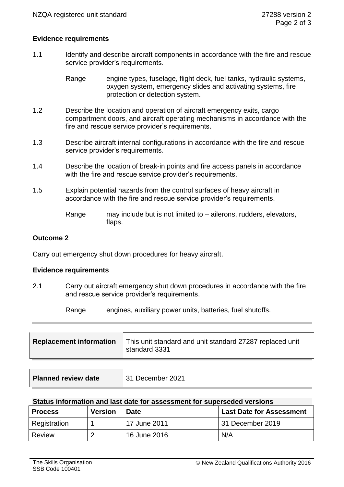# **Evidence requirements**

1.1 Identify and describe aircraft components in accordance with the fire and rescue service provider's requirements.

> Range engine types, fuselage, flight deck, fuel tanks, hydraulic systems, oxygen system, emergency slides and activating systems, fire protection or detection system.

- 1.2 Describe the location and operation of aircraft emergency exits, cargo compartment doors, and aircraft operating mechanisms in accordance with the fire and rescue service provider's requirements.
- 1.3 Describe aircraft internal configurations in accordance with the fire and rescue service provider's requirements.
- 1.4 Describe the location of break-in points and fire access panels in accordance with the fire and rescue service provider's requirements.
- 1.5 Explain potential hazards from the control surfaces of heavy aircraft in accordance with the fire and rescue service provider's requirements.
	- Range may include but is not limited to ailerons, rudders, elevators, flaps.

## **Outcome 2**

Carry out emergency shut down procedures for heavy aircraft.

#### **Evidence requirements**

2.1 Carry out aircraft emergency shut down procedures in accordance with the fire and rescue service provider's requirements.

Range engines, auxiliary power units, batteries, fuel shutoffs.

| <b>Replacement information</b> | This unit standard and unit standard 27287 replaced unit<br>standard 3331 |
|--------------------------------|---------------------------------------------------------------------------|
|                                |                                                                           |

| <b>Planned review date</b> | 31 December 2021 |
|----------------------------|------------------|
|                            |                  |

### **Status information and last date for assessment for superseded versions**

| <b>Process</b> | <b>Version</b> | <b>Last Date for Assessment</b><br><b>Date</b> |                  |
|----------------|----------------|------------------------------------------------|------------------|
| Registration   |                | 17 June 2011                                   | 31 December 2019 |
| Review         | റ              | 16 June 2016                                   | N/A              |